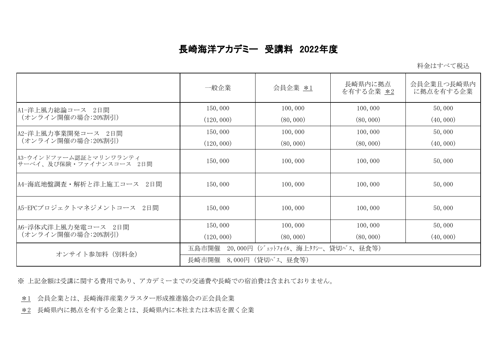## 長崎海洋アカデミー 受講料 2022年度

| 料金はすべて税込 |
|----------|
|----------|

|                                                    | 一般企業                                        | 会員企業 *1   | 長崎県内に拠点<br>を有する企業 *2 | 会員企業且つ長崎県内<br>に拠点を有する企業 |  |
|----------------------------------------------------|---------------------------------------------|-----------|----------------------|-------------------------|--|
| A1ー洋上風力総論コース 2日間<br>(オンライン開催の場合:20%割引)             | 150,000                                     | 100,000   | 100,000              | 50,000                  |  |
|                                                    | (120, 000)                                  | (80, 000) | (80, 000)            | (40, 000)               |  |
| A2-洋上風力事業開発コース 2日間<br>(オンライン開催の場合:20%割引)           | 150,000                                     | 100,000   | 100,000              | 50,000                  |  |
|                                                    | (120, 000)                                  | (80, 000) | (80, 000)            | (40, 000)               |  |
| A3-ウインドファーム認証とマリンワランティ<br> サーベイ、及び保険・ファイナンスコース 2日間 | 150,000                                     | 100,000   | 100,000              | 50,000                  |  |
| A4-海底地盤調査・解析と洋上施工コース 2日間                           | 150,000                                     | 100,000   | 100,000              | 50,000                  |  |
| A5-EPCプロジェクトマネジメントコース 2日間                          | 150,000                                     | 100,000   | 100,000              | 50,000                  |  |
| A6-浮体式洋上風力発電コース 2日間<br>(オンライン開催の場合:20%割引)          | 150,000                                     | 100,000   | 100,000              | 50,000                  |  |
|                                                    | (120, 000)                                  | (80, 000) | (80, 000)            | (40, 000)               |  |
| オンサイト参加料 (別料金)                                     | 20,000円 (ジェットフォイル、海上タクシー、貸切バス、昼食等)<br>五島市開催 |           |                      |                         |  |
|                                                    | - 8,000円(貸切バス、昼食等)<br>長崎市開催                 |           |                      |                         |  |

※ 上記金額は受講に関する費用であり、アカデミーまでの交通費や長崎での宿泊費は含まれておりません。

\*1 会員企業とは、長崎海洋産業クラスター形成推進協会の正会員企業

\*2 長崎県内に拠点を有する企業とは、長崎県内に本社または本店を置く企業